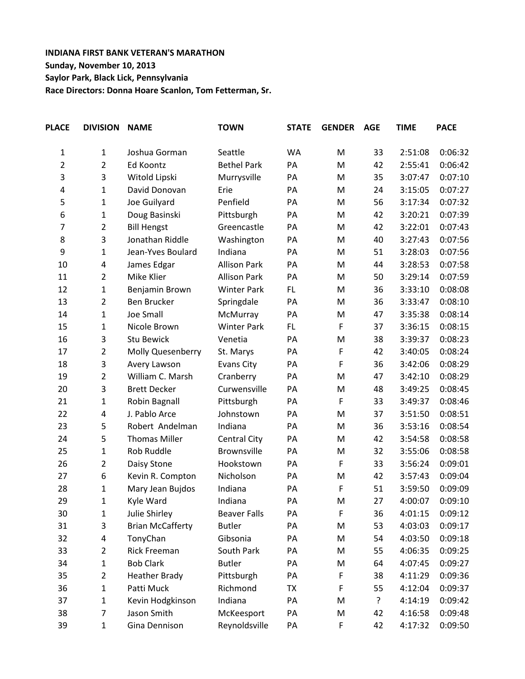## **INDIANA FIRST BANK VETERAN'S MARATHON Sunday, November 10, 2013 Saylor Park, Black Lick, Pennsylvania Race Directors: Donna Hoare Scanlon, Tom Fetterman, Sr.**

| <b>PLACE</b>   | <b>DIVISION</b> | <b>NAME</b>             | <b>TOWN</b>         | <b>STATE</b> | <b>GENDER</b> | <b>AGE</b> | <b>TIME</b> | <b>PACE</b> |
|----------------|-----------------|-------------------------|---------------------|--------------|---------------|------------|-------------|-------------|
| $\mathbf 1$    | 1               | Joshua Gorman           | Seattle             | WA           | M             | 33         | 2:51:08     | 0:06:32     |
| 2              | $\overline{2}$  | Ed Koontz               | <b>Bethel Park</b>  | PA           | M             | 42         | 2:55:41     | 0:06:42     |
| 3              | 3               | Witold Lipski           | Murrysville         | PA           | M             | 35         | 3:07:47     | 0:07:10     |
| 4              | $\mathbf{1}$    | David Donovan           | Erie                | PA           | M             | 24         | 3:15:05     | 0:07:27     |
| 5              | 1               | Joe Guilyard            | Penfield            | PA           | M             | 56         | 3:17:34     | 0:07:32     |
| 6              | $\mathbf{1}$    | Doug Basinski           | Pittsburgh          | PA           | M             | 42         | 3:20:21     | 0:07:39     |
| $\overline{7}$ | $\overline{2}$  | <b>Bill Hengst</b>      | Greencastle         | PA           | M             | 42         | 3:22:01     | 0:07:43     |
| 8              | 3               | Jonathan Riddle         | Washington          | PA           | M             | 40         | 3:27:43     | 0:07:56     |
| 9              | $\mathbf{1}$    | Jean-Yves Boulard       | Indiana             | PA           | M             | 51         | 3:28:03     | 0:07:56     |
| 10             | 4               | James Edgar             | <b>Allison Park</b> | PA           | M             | 44         | 3:28:53     | 0:07:58     |
| 11             | $\overline{2}$  | Mike Klier              | <b>Allison Park</b> | PA           | M             | 50         | 3:29:14     | 0:07:59     |
| 12             | $\mathbf{1}$    | Benjamin Brown          | <b>Winter Park</b>  | FL.          | M             | 36         | 3:33:10     | 0:08:08     |
| 13             | $\overline{2}$  | Ben Brucker             | Springdale          | PA           | M             | 36         | 3:33:47     | 0:08:10     |
| 14             | $\mathbf 1$     | <b>Joe Small</b>        | McMurray            | PA           | M             | 47         | 3:35:38     | 0:08:14     |
| 15             | $\mathbf{1}$    | Nicole Brown            | <b>Winter Park</b>  | FL.          | F             | 37         | 3:36:15     | 0:08:15     |
| 16             | 3               | <b>Stu Bewick</b>       | Venetia             | PA           | M             | 38         | 3:39:37     | 0:08:23     |
| 17             | $\overline{2}$  | Molly Quesenberry       | St. Marys           | PA           | F             | 42         | 3:40:05     | 0:08:24     |
| 18             | 3               | Avery Lawson            | Evans City          | PA           | $\mathsf F$   | 36         | 3:42:06     | 0:08:29     |
| 19             | $\overline{2}$  | William C. Marsh        | Cranberry           | PA           | M             | 47         | 3:42:10     | 0:08:29     |
| 20             | 3               | <b>Brett Decker</b>     | Curwensville        | PA           | M             | 48         | 3:49:25     | 0:08:45     |
| 21             | $\mathbf{1}$    | Robin Bagnall           | Pittsburgh          | PA           | F             | 33         | 3:49:37     | 0:08:46     |
| 22             | 4               | J. Pablo Arce           | Johnstown           | PA           | M             | 37         | 3:51:50     | 0:08:51     |
| 23             | 5               | Robert Andelman         | Indiana             | PA           | M             | 36         | 3:53:16     | 0:08:54     |
| 24             | 5               | <b>Thomas Miller</b>    | Central City        | PA           | M             | 42         | 3:54:58     | 0:08:58     |
| 25             | 1               | Rob Ruddle              | Brownsville         | PA           | M             | 32         | 3:55:06     | 0:08:58     |
| 26             | $\overline{2}$  | Daisy Stone             | Hookstown           | PA           | F             | 33         | 3:56:24     | 0:09:01     |
| 27             | 6               | Kevin R. Compton        | Nicholson           | PA           | M             | 42         | 3:57:43     | 0:09:04     |
| 28             | $\mathbf{1}$    | Mary Jean Bujdos        | Indiana             | PA           | $\mathsf F$   | 51         | 3:59:50     | 0:09:09     |
| 29             | 1               | Kyle Ward               | Indiana             | PA           | M             | 27         | 4:00:07     | 0:09:10     |
| 30             | $\mathbf 1$     | Julie Shirley           | <b>Beaver Falls</b> | PA           | F             | 36         | 4:01:15     | 0:09:12     |
| 31             | 3               | <b>Brian McCafferty</b> | <b>Butler</b>       | PA           | M             | 53         | 4:03:03     | 0:09:17     |
| 32             | 4               | TonyChan                | Gibsonia            | PA           | M             | 54         | 4:03:50     | 0:09:18     |
| 33             | $\overline{2}$  | <b>Rick Freeman</b>     | South Park          | PA           | M             | 55         | 4:06:35     | 0:09:25     |
| 34             | $\mathbf{1}$    | <b>Bob Clark</b>        | <b>Butler</b>       | PA           | M             | 64         | 4:07:45     | 0:09:27     |
| 35             | $\overline{2}$  | <b>Heather Brady</b>    | Pittsburgh          | PA           | F             | 38         | 4:11:29     | 0:09:36     |
| 36             | $\mathbf{1}$    | Patti Muck              | Richmond            | TX           | F             | 55         | 4:12:04     | 0:09:37     |
| 37             | 1               | Kevin Hodgkinson        | Indiana             | PA           | M             | ŗ          | 4:14:19     | 0:09:42     |
| 38             | $\overline{7}$  | Jason Smith             | McKeesport          | PA           | M             | 42         | 4:16:58     | 0:09:48     |
| 39             | $\mathbf 1$     | Gina Dennison           | Reynoldsville       | PA           | F             | 42         | 4:17:32     | 0:09:50     |
|                |                 |                         |                     |              |               |            |             |             |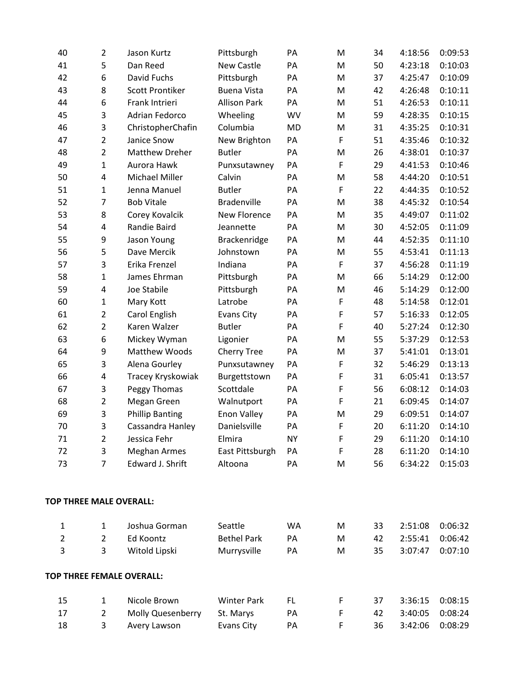| 40                      | $\overline{2}$          | Jason Kurtz               | Pittsburgh          | PA        | M           | 34 | 4:18:56 | 0:09:53 |
|-------------------------|-------------------------|---------------------------|---------------------|-----------|-------------|----|---------|---------|
| 41                      | 5                       | Dan Reed                  | <b>New Castle</b>   | PA        | M           | 50 | 4:23:18 | 0:10:03 |
| 42                      | 6                       | David Fuchs               | Pittsburgh          | PA        | M           | 37 | 4:25:47 | 0:10:09 |
| 43                      | 8                       | <b>Scott Prontiker</b>    | <b>Buena Vista</b>  | PA        | M           | 42 | 4:26:48 | 0:10:11 |
| 44                      | 6                       | Frank Intrieri            | <b>Allison Park</b> | PA        | M           | 51 | 4:26:53 | 0:10:11 |
| 45                      | 3                       | Adrian Fedorco            | Wheeling            | WV        | M           | 59 | 4:28:35 | 0:10:15 |
| 46                      | $\overline{\mathbf{3}}$ | ChristopherChafin         | Columbia            | <b>MD</b> | M           | 31 | 4:35:25 | 0:10:31 |
| 47                      | $\overline{2}$          | Janice Snow               | New Brighton        | PA        | F           | 51 | 4:35:46 | 0:10:32 |
| 48                      | $\overline{2}$          | <b>Matthew Dreher</b>     | <b>Butler</b>       | PA        | M           | 26 | 4:38:01 | 0:10:37 |
| 49                      | 1                       | Aurora Hawk               | Punxsutawney        | PA        | F           | 29 | 4:41:53 | 0:10:46 |
| 50                      | 4                       | Michael Miller            | Calvin              | PA        | M           | 58 | 4:44:20 | 0:10:51 |
| 51                      | $\mathbf{1}$            | Jenna Manuel              | <b>Butler</b>       | PA        | $\mathsf F$ | 22 | 4:44:35 | 0:10:52 |
| 52                      | $\overline{7}$          | <b>Bob Vitale</b>         | Bradenville         | PA        | M           | 38 | 4:45:32 | 0:10:54 |
| 53                      | 8                       | Corey Kovalcik            | New Florence        | PA        | M           | 35 | 4:49:07 | 0:11:02 |
| 54                      | 4                       | Randie Baird              | Jeannette           | PA        | M           | 30 | 4:52:05 | 0:11:09 |
| 55                      | 9                       | Jason Young               | Brackenridge        | PA        | M           | 44 | 4:52:35 | 0:11:10 |
| 56                      | 5                       | Dave Mercik               | Johnstown           | PA        | M           | 55 | 4:53:41 | 0:11:13 |
| 57                      | 3                       | Erika Frenzel             | Indiana             | PA        | $\mathsf F$ | 37 | 4:56:28 | 0:11:19 |
| 58                      | 1                       | James Ehrman              | Pittsburgh          | PA        | M           | 66 | 5:14:29 | 0:12:00 |
| 59                      | 4                       | Joe Stabile               | Pittsburgh          | PA        | M           | 46 | 5:14:29 | 0:12:00 |
| 60                      | $\mathbf{1}$            | Mary Kott                 | Latrobe             | PA        | F           | 48 | 5:14:58 | 0:12:01 |
| 61                      | $\overline{2}$          | Carol English             | <b>Evans City</b>   | PA        | F           | 57 | 5:16:33 | 0:12:05 |
| 62                      | $\overline{2}$          | Karen Walzer              | <b>Butler</b>       | PA        | F           | 40 | 5:27:24 | 0:12:30 |
| 63                      | 6                       | Mickey Wyman              | Ligonier            | PA        | M           | 55 | 5:37:29 | 0:12:53 |
| 64                      | 9                       | Matthew Woods             | <b>Cherry Tree</b>  | PA        | M           | 37 | 5:41:01 | 0:13:01 |
| 65                      | 3                       | Alena Gourley             | Punxsutawney        | PA        | F           | 32 | 5:46:29 | 0:13:13 |
| 66                      | 4                       | Tracey Kryskowiak         | Burgettstown        | PA        | F           | 31 | 6:05:41 | 0:13:57 |
| 67                      | 3                       | Peggy Thomas              | Scottdale           | PA        | $\mathsf F$ | 56 | 6:08:12 | 0:14:03 |
| 68                      | $\overline{2}$          | Megan Green               | Walnutport          | PA        | F           | 21 | 6:09:45 | 0:14:07 |
| 69                      | 3                       | <b>Phillip Banting</b>    | Enon Valley         | PA        | M           | 29 | 6:09:51 | 0:14:07 |
| 70                      | 3                       | Cassandra Hanley          | Danielsville        | PA        | F           | 20 | 6:11:20 | 0:14:10 |
| 71                      | $\overline{2}$          | Jessica Fehr              | Elmira              | <b>NY</b> | F           | 29 | 6:11:20 | 0:14:10 |
| 72                      | 3                       | <b>Meghan Armes</b>       | East Pittsburgh     | PA        | F           | 28 | 6:11:20 | 0:14:10 |
| 73                      | $\overline{7}$          | Edward J. Shrift          | Altoona             | PA        | M           | 56 | 6:34:22 | 0:15:03 |
| TOP THREE MALE OVERALL: |                         |                           |                     |           |             |    |         |         |
| $\mathbf{1}$            | $\mathbf{1}$            | Joshua Gorman             | Seattle             | <b>WA</b> | M           | 33 | 2:51:08 | 0:06:32 |
| $\overline{2}$          | $\overline{2}$          | Ed Koontz                 | <b>Bethel Park</b>  | PA        | M           | 42 | 2:55:41 | 0:06:42 |
| 3                       | 3                       | Witold Lipski             | Murrysville         | PA        | M           | 35 | 3:07:47 | 0:07:10 |
|                         |                         | TOP THREE FEMALE OVERALL: |                     |           |             |    |         |         |
| 15                      | $\mathbf{1}$            | Nicole Brown              | <b>Winter Park</b>  | FL.       | F           | 37 | 3:36:15 | 0:08:15 |
| 17                      | $\overline{2}$          | Molly Quesenberry         | St. Marys           | PA        | F           | 42 | 3:40:05 | 0:08:24 |
| 18                      | 3                       | Avery Lawson              | <b>Evans City</b>   | PA        | F           | 36 | 3:42:06 | 0:08:29 |
|                         |                         |                           |                     |           |             |    |         |         |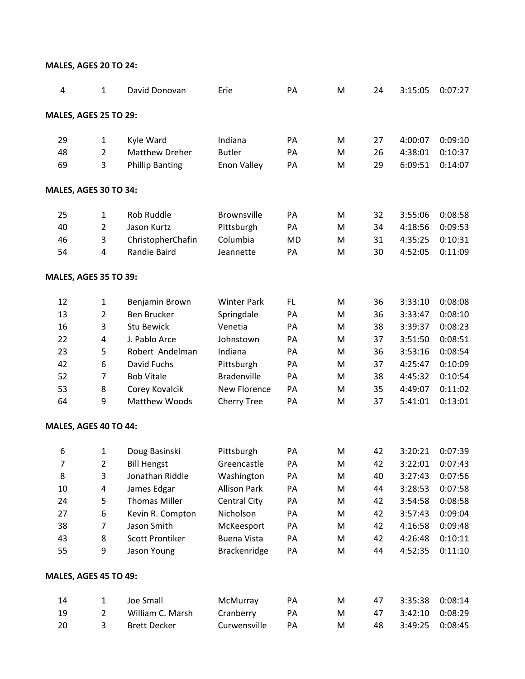| 4                            | 1              | David Donovan          | Erie                | PA        | M | 24 | 3:15:05 | 0:07:27 |
|------------------------------|----------------|------------------------|---------------------|-----------|---|----|---------|---------|
| <b>MALES, AGES 25 TO 29:</b> |                |                        |                     |           |   |    |         |         |
| 29                           | $\mathbf{1}$   | Kyle Ward              | Indiana             | PA        | M | 27 | 4:00:07 | 0:09:10 |
| 48                           | $\overline{2}$ | <b>Matthew Dreher</b>  | <b>Butler</b>       | PA        | M | 26 | 4:38:01 | 0:10:37 |
| 69                           | 3              | <b>Phillip Banting</b> | Enon Valley         | PA        | M | 29 | 6:09:51 | 0:14:07 |
| MALES, AGES 30 TO 34:        |                |                        |                     |           |   |    |         |         |
| 25                           | $\mathbf{1}$   | Rob Ruddle             | <b>Brownsville</b>  | PA        | M | 32 | 3:55:06 | 0:08:58 |
| 40                           | $\overline{2}$ | Jason Kurtz            | Pittsburgh          | PA        | M | 34 | 4:18:56 | 0:09:53 |
| 46                           | 3              | ChristopherChafin      | Columbia            | <b>MD</b> | M | 31 | 4:35:25 | 0:10:31 |
| 54                           | 4              | Randie Baird           | Jeannette           | PA        | M | 30 | 4:52:05 | 0:11:09 |
| <b>MALES, AGES 35 TO 39:</b> |                |                        |                     |           |   |    |         |         |
| 12                           | $\mathbf{1}$   | Benjamin Brown         | <b>Winter Park</b>  | FL        | M | 36 | 3:33:10 | 0:08:08 |
| 13                           | $\overline{2}$ | <b>Ben Brucker</b>     | Springdale          | PA        | M | 36 | 3:33:47 | 0:08:10 |
| 16                           | 3              | <b>Stu Bewick</b>      | Venetia             | PA        | M | 38 | 3:39:37 | 0:08:23 |
| 22                           | 4              | J. Pablo Arce          | Johnstown           | PA        | M | 37 | 3:51:50 | 0:08:51 |
| 23                           | 5              | Robert Andelman        | Indiana             | PA        | M | 36 | 3:53:16 | 0:08:54 |
| 42                           | 6              | David Fuchs            | Pittsburgh          | PA        | M | 37 | 4:25:47 | 0:10:09 |
| 52                           | 7              | <b>Bob Vitale</b>      | <b>Bradenville</b>  | PA        | M | 38 | 4:45:32 | 0:10:54 |
| 53                           | 8              | Corey Kovalcik         | New Florence        | PA        | M | 35 | 4:49:07 | 0:11:02 |
| 64                           | 9              | <b>Matthew Woods</b>   | <b>Cherry Tree</b>  | PA        | M | 37 | 5:41:01 | 0:13:01 |
| MALES, AGES 40 TO 44:        |                |                        |                     |           |   |    |         |         |
| 6                            | 1              | Doug Basinski          | Pittsburgh          | PA        | M | 42 | 3:20:21 | 0:07:39 |
| 7                            | $\overline{2}$ | <b>Bill Hengst</b>     | Greencastle         | PA        | M | 42 | 3:22:01 | 0:07:43 |
| 8                            | 3              | Jonathan Riddle        | Washington          | PA        | M | 40 | 3:27:43 | 0:07:56 |
| 10                           | 4              | James Edgar            | <b>Allison Park</b> | PA        | M | 44 | 3:28:53 | 0:07:58 |
| 24                           | 5              | <b>Thomas Miller</b>   | <b>Central City</b> | PA        | M | 42 | 3:54:58 | 0:08:58 |
| 27                           | 6              | Kevin R. Compton       | Nicholson           | PA        | M | 42 | 3:57:43 | 0:09:04 |
| 38                           | 7              | Jason Smith            | McKeesport          | PA        | M | 42 | 4:16:58 | 0:09:48 |
| 43                           | 8              | <b>Scott Prontiker</b> | <b>Buena Vista</b>  | PA        | M | 42 | 4:26:48 | 0:10:11 |
| 55                           | 9              | Jason Young            | Brackenridge        | PA        | M | 44 | 4:52:35 | 0:11:10 |
| <b>MALES, AGES 45 TO 49:</b> |                |                        |                     |           |   |    |         |         |
| 14                           | $\mathbf{1}$   | <b>Joe Small</b>       | McMurray            | PA        | M | 47 | 3:35:38 | 0:08:14 |
| 19                           | $\overline{2}$ | William C. Marsh       | Cranberry           | PA        | M | 47 | 3:42:10 | 0:08:29 |
| 20                           | 3              | <b>Brett Decker</b>    | Curwensville        | PA        | M | 48 | 3:49:25 | 0:08:45 |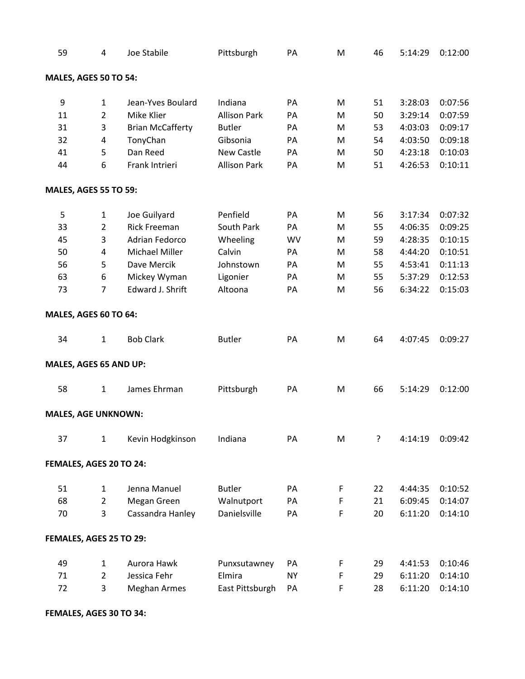| 59                           | 4              | Joe Stabile             | Pittsburgh          | PA        | M | 46 | 5:14:29 | 0:12:00 |
|------------------------------|----------------|-------------------------|---------------------|-----------|---|----|---------|---------|
| MALES, AGES 50 TO 54:        |                |                         |                     |           |   |    |         |         |
| 9                            | $\mathbf{1}$   | Jean-Yves Boulard       | Indiana             | PA        | M | 51 | 3:28:03 | 0:07:56 |
| 11                           | $\overline{2}$ | Mike Klier              | <b>Allison Park</b> | PA        | M | 50 | 3:29:14 | 0:07:59 |
| 31                           | 3              | <b>Brian McCafferty</b> | <b>Butler</b>       | PA        | M | 53 | 4:03:03 | 0:09:17 |
| 32                           | 4              | TonyChan                | Gibsonia            | PA        | M | 54 | 4:03:50 | 0:09:18 |
| 41                           | 5              | Dan Reed                | <b>New Castle</b>   | PA        | M | 50 | 4:23:18 | 0:10:03 |
| 44                           | 6              | Frank Intrieri          | <b>Allison Park</b> | PA        | M | 51 | 4:26:53 | 0:10:11 |
| <b>MALES, AGES 55 TO 59:</b> |                |                         |                     |           |   |    |         |         |
| 5                            | $\mathbf{1}$   | Joe Guilyard            | Penfield            | PA        | M | 56 | 3:17:34 | 0:07:32 |
| 33                           | $\overline{2}$ | <b>Rick Freeman</b>     | South Park          | PA        | M | 55 | 4:06:35 | 0:09:25 |
| 45                           | 3              | <b>Adrian Fedorco</b>   | Wheeling            | WV        | M | 59 | 4:28:35 | 0:10:15 |
| 50                           | 4              | Michael Miller          | Calvin              | PA        | M | 58 | 4:44:20 | 0:10:51 |
| 56                           | 5              | Dave Mercik             | Johnstown           | PA        | M | 55 | 4:53:41 | 0:11:13 |
| 63                           | 6              | Mickey Wyman            | Ligonier            | PA        | M | 55 | 5:37:29 | 0:12:53 |
| 73                           | 7              | Edward J. Shrift        | Altoona             | PA        | M | 56 | 6:34:22 | 0:15:03 |
| MALES, AGES 60 TO 64:        |                |                         |                     |           |   |    |         |         |
| 34                           | $\mathbf{1}$   | <b>Bob Clark</b>        | <b>Butler</b>       | PA        | M | 64 | 4:07:45 | 0:09:27 |
| MALES, AGES 65 AND UP:       |                |                         |                     |           |   |    |         |         |
| 58                           | $\mathbf{1}$   | James Ehrman            | Pittsburgh          | PA        | M | 66 | 5:14:29 | 0:12:00 |
| <b>MALES, AGE UNKNOWN:</b>   |                |                         |                     |           |   |    |         |         |
| 37                           | $\mathbf{1}$   | Kevin Hodgkinson        | Indiana             | PA        | M | ?  | 4:14:19 | 0:09:42 |
| FEMALES, AGES 20 TO 24:      |                |                         |                     |           |   |    |         |         |
| 51                           | $\mathbf{1}$   | Jenna Manuel            | <b>Butler</b>       | PA        | F | 22 | 4:44:35 | 0:10:52 |
| 68                           | $\overline{2}$ | Megan Green             | Walnutport          | PA        | F | 21 | 6:09:45 | 0:14:07 |
| 70                           | 3              | Cassandra Hanley        | Danielsville        | PA        | F | 20 | 6:11:20 | 0:14:10 |
| FEMALES, AGES 25 TO 29:      |                |                         |                     |           |   |    |         |         |
| 49                           | $\mathbf{1}$   | Aurora Hawk             | Punxsutawney        | PA        | F | 29 | 4:41:53 | 0:10:46 |
| 71                           | $\overline{2}$ | Jessica Fehr            | Elmira              | <b>NY</b> | F | 29 | 6:11:20 | 0:14:10 |
| 72                           | 3              | <b>Meghan Armes</b>     | East Pittsburgh     | PA        | F | 28 | 6:11:20 | 0:14:10 |

**FEMALES, AGES 30 TO 34:**